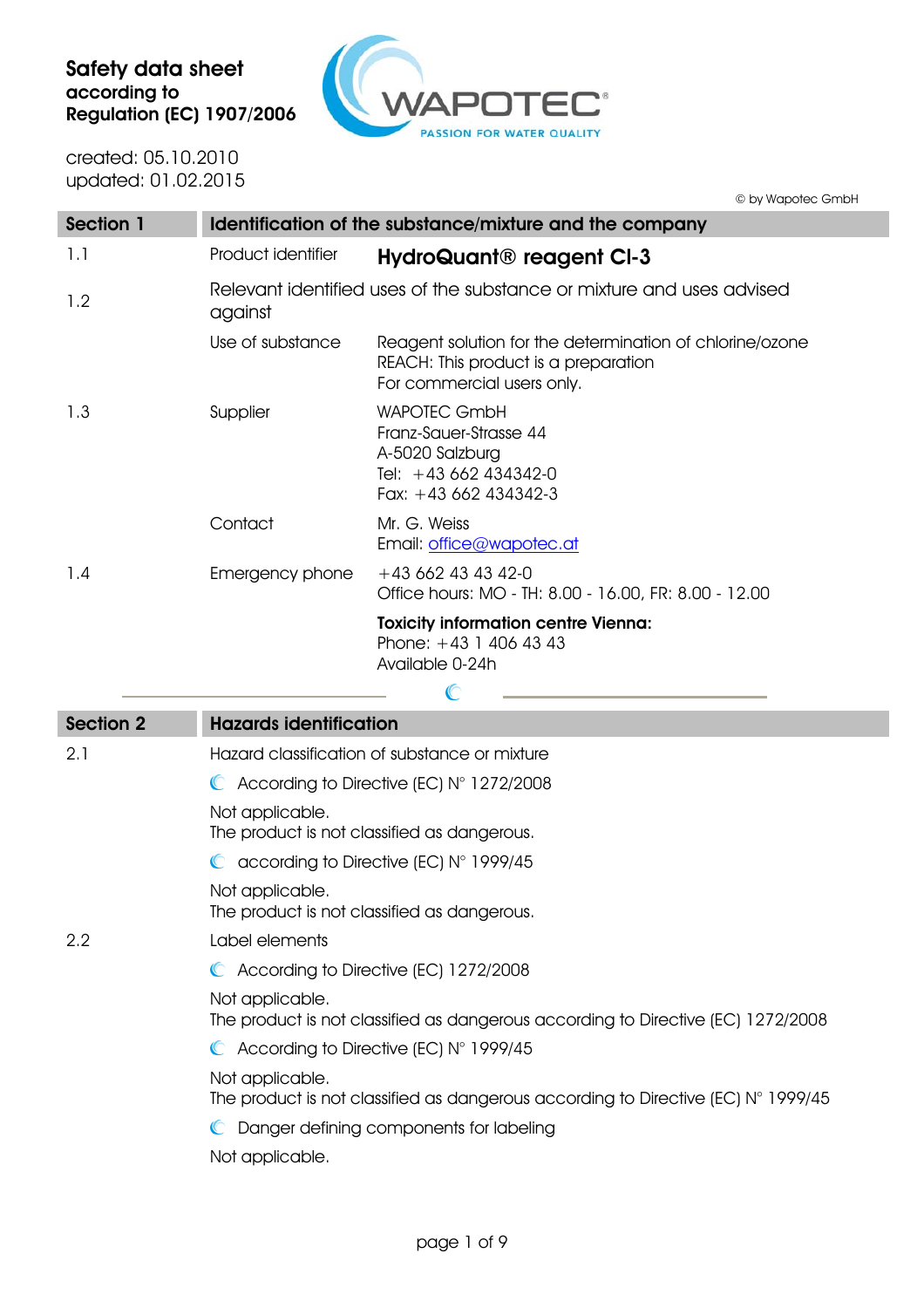

created: 05.10.2010 updated: 01.02.2015

© by Wapotec GmbH

| <b>Section 1</b> |                                                                                  | Identification of the substance/mixture and the company                                                                        |
|------------------|----------------------------------------------------------------------------------|--------------------------------------------------------------------------------------------------------------------------------|
| 1.1              | Product identifier                                                               | HydroQuant <sup>®</sup> reagent CI-3                                                                                           |
| 1.2              | Relevant identified uses of the substance or mixture and uses advised<br>against |                                                                                                                                |
|                  | Use of substance                                                                 | Reagent solution for the determination of chlorine/ozone<br>REACH: This product is a preparation<br>For commercial users only. |
| 1.3              | Supplier                                                                         | <b>WAPOTEC GmbH</b><br>Franz-Sauer-Strasse 44<br>A-5020 Salzburg<br>Tel: $+43662434342-0$<br>Fax: $+43662434342-3$             |
|                  | Contact                                                                          | Mr. G. Weiss<br>Email: office@wapotec.at                                                                                       |
| 1.4              | Emergency phone                                                                  | $+43662434342-0$<br>Office hours: MO - TH: 8.00 - 16.00, FR: 8.00 - 12.00                                                      |
|                  |                                                                                  | <b>Toxicity information centre Vienna:</b><br>Phone: $+43$ 1 406 43 43<br>Available 0-24h                                      |

| <b>Section 2</b> | <b>Hazards identification</b>                                                                                 |
|------------------|---------------------------------------------------------------------------------------------------------------|
| 2.1              | Hazard classification of substance or mixture                                                                 |
|                  | $\bullet$ According to Directive (EC) $N^{\circ}$ 1272/2008                                                   |
|                  | Not applicable.<br>The product is not classified as dangerous.                                                |
|                  | $\bullet$ according to Directive (EC) N° 1999/45                                                              |
|                  | Not applicable.<br>The product is not classified as dangerous.                                                |
| 2.2              | Label elements                                                                                                |
|                  | C According to Directive (EC) 1272/2008                                                                       |
|                  | Not applicable.<br>The product is not classified as dangerous according to Directive (EC) 1272/2008           |
|                  | $\bullet$ According to Directive (EC) N° 1999/45                                                              |
|                  | Not applicable.<br>The product is not classified as dangerous according to Directive (EC) $N^{\circ}$ 1999/45 |
|                  | C Danger defining components for labeling                                                                     |
|                  | Not applicable.                                                                                               |

 $\bigcirc$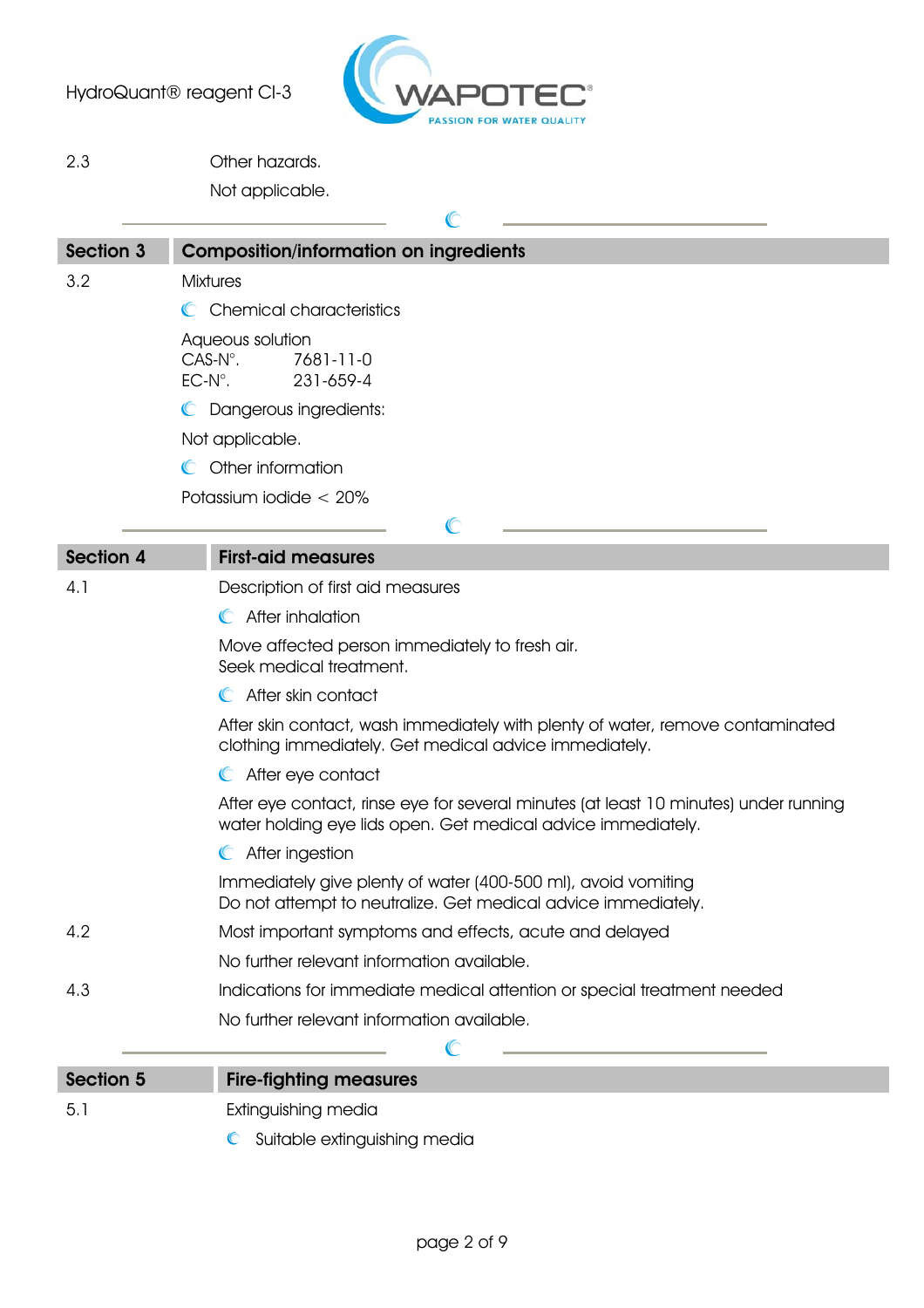

2.3 Other hazards.

Not applicable.

| <b>Section 3</b>                                                                                                                        | <b>Composition/information on ingredients</b>                                                                                                        |  |
|-----------------------------------------------------------------------------------------------------------------------------------------|------------------------------------------------------------------------------------------------------------------------------------------------------|--|
| 3.2                                                                                                                                     | <b>Mixtures</b>                                                                                                                                      |  |
|                                                                                                                                         | C Chemical characteristics                                                                                                                           |  |
|                                                                                                                                         | Aqueous solution<br>$CAS-N^\circ$ .<br>7681-11-0<br>$EC-N^\circ$ .<br>231-659-4                                                                      |  |
|                                                                                                                                         | C Dangerous ingredients:                                                                                                                             |  |
| Not applicable.                                                                                                                         |                                                                                                                                                      |  |
|                                                                                                                                         | C Other information                                                                                                                                  |  |
|                                                                                                                                         | Potassium iodide $< 20\%$                                                                                                                            |  |
|                                                                                                                                         | C                                                                                                                                                    |  |
| <b>Section 4</b>                                                                                                                        | <b>First-aid measures</b>                                                                                                                            |  |
| 4.1                                                                                                                                     | Description of first aid measures                                                                                                                    |  |
|                                                                                                                                         | C After inhalation                                                                                                                                   |  |
|                                                                                                                                         | Move affected person immediately to fresh air.<br>Seek medical treatment.                                                                            |  |
|                                                                                                                                         | After skin contact                                                                                                                                   |  |
| After skin contact, wash immediately with plenty of water, remove contaminated<br>clothing immediately. Get medical advice immediately. |                                                                                                                                                      |  |
|                                                                                                                                         | C After eye contact                                                                                                                                  |  |
|                                                                                                                                         | After eye contact, rinse eye for several minutes (at least 10 minutes) under running<br>water holding eye lids open. Get medical advice immediately. |  |
|                                                                                                                                         | C After ingestion                                                                                                                                    |  |
|                                                                                                                                         | Immediately give plenty of water (400-500 ml), avoid vomiting<br>Do not attempt to neutralize. Get medical advice immediately.                       |  |
| 4.2                                                                                                                                     | Most important symptoms and effects, acute and delayed                                                                                               |  |
|                                                                                                                                         | No further relevant information available.                                                                                                           |  |
| 4.3                                                                                                                                     | Indications for immediate medical attention or special treatment needed                                                                              |  |
|                                                                                                                                         | No further relevant information available.                                                                                                           |  |
|                                                                                                                                         | C                                                                                                                                                    |  |
| <b>Section 5</b>                                                                                                                        | <b>Fire-fighting measures</b>                                                                                                                        |  |
| 5.1                                                                                                                                     | Extinguishing media                                                                                                                                  |  |

**C** Suitable extinguishing media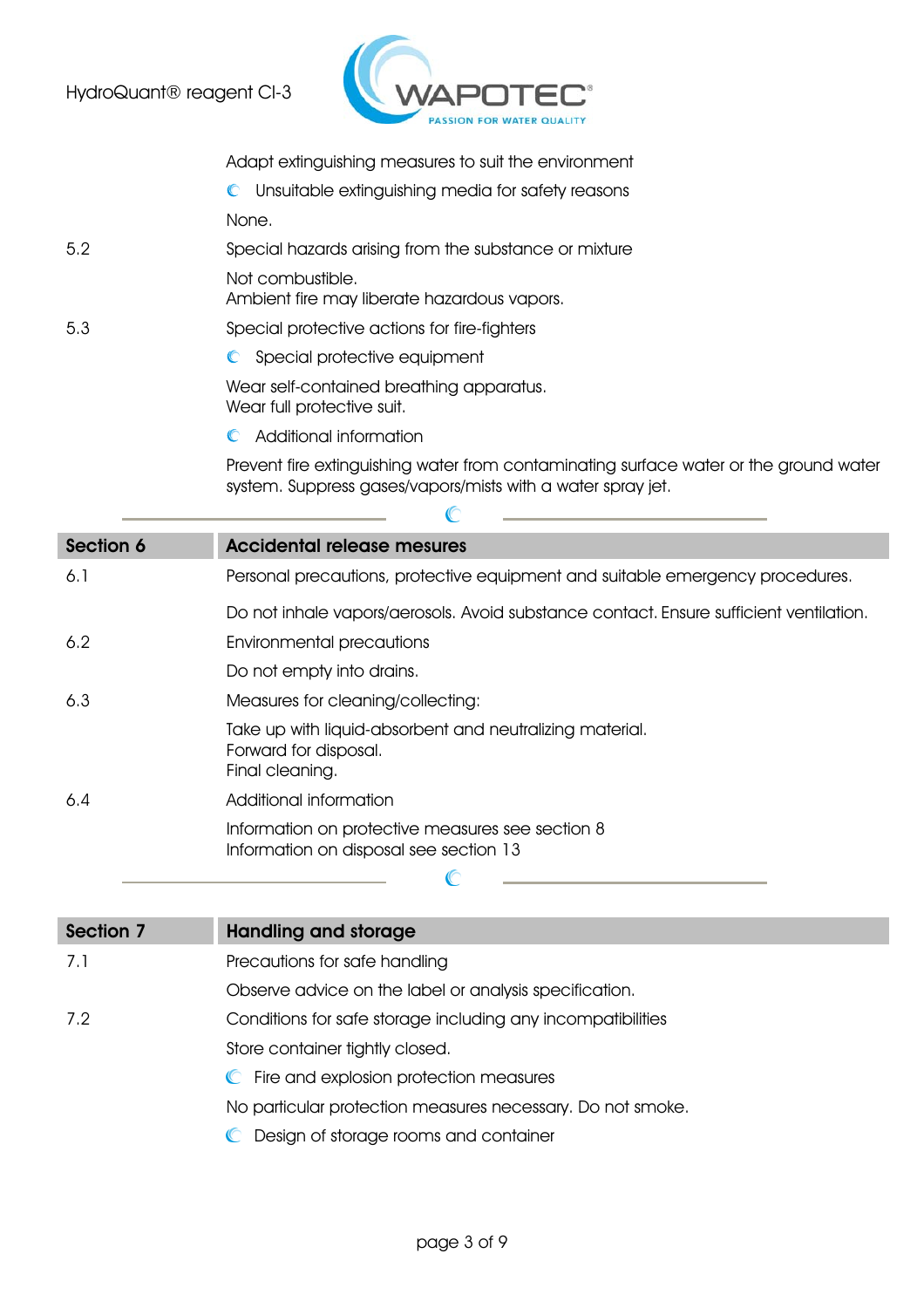

Adapt extinguishing measures to suit the environment

Unsuitable extinguishing media for safety reasons

None.

5.2 Special hazards arising from the substance or mixture Not combustible.

Ambient fire may liberate hazardous vapors.

- 5.3 Special protective actions for fire-fighters
	- C Special protective equipment

Wear self-contained breathing apparatus. Wear full protective suit.

 $\mathbb{C}$ Additional information

Prevent fire extinguishing water from contaminating surface water or the ground water system. Suppress gases/vapors/mists with a water spray jet.

| Section 6 | <b>Accidental release mesures</b>                                                                    |  |  |
|-----------|------------------------------------------------------------------------------------------------------|--|--|
| 6.1       | Personal precautions, protective equipment and suitable emergency procedures.                        |  |  |
|           | Do not inhale vapors/aerosols. Avoid substance contact. Ensure sufficient ventilation.               |  |  |
| 6.2       | <b>Environmental precautions</b>                                                                     |  |  |
|           | Do not empty into drains.                                                                            |  |  |
| 6.3       | Measures for cleaning/collecting:                                                                    |  |  |
|           | Take up with liquid-absorbent and neutralizing material.<br>Forward for disposal.<br>Final cleaning. |  |  |
| 6.4       | Additional information                                                                               |  |  |
|           | Information on protective measures see section 8<br>Information on disposal see section 13           |  |  |
|           |                                                                                                      |  |  |

| Section 7 | <b>Handling and storage</b>                                 |
|-----------|-------------------------------------------------------------|
| 7.1       | Precautions for safe handling                               |
|           | Observe advice on the label or analysis specification.      |
| 7.2       | Conditions for safe storage including any incompatibilities |
|           | Store container tightly closed.                             |
|           | C Fire and explosion protection measures                    |
|           | No particular protection measures necessary. Do not smoke.  |
|           | Design of storage rooms and container                       |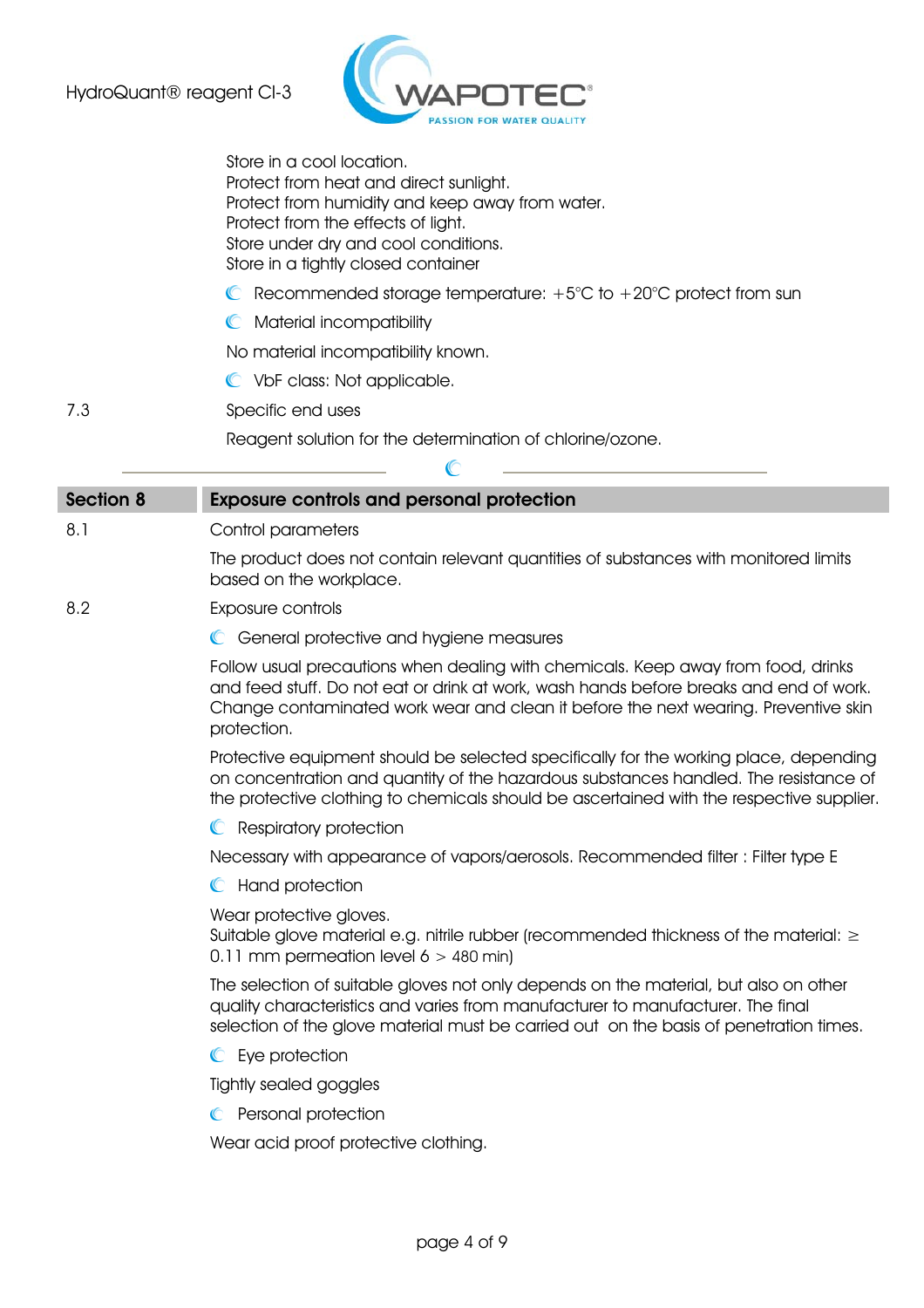

Store in a cool location. Protect from heat and direct sunlight. Protect from humidity and keep away from water. Protect from the effects of light. Store under dry and cool conditions. Store in a tightly closed container

- $\bullet$  Recommended storage temperature: +5°C to +20°C protect from sun
- **C** Material incompatibility

No material incompatibility known.

VbF class: Not applicable.

7.3 Specific end uses

 Reagent solution for the determination of chlorine/ozone.  $\mathbb{C}$ 

| <b>Section 8</b> | <b>Exposure controls and personal protection</b>                                                                                                                                                                                                                                  |
|------------------|-----------------------------------------------------------------------------------------------------------------------------------------------------------------------------------------------------------------------------------------------------------------------------------|
| 8.1              | Control parameters                                                                                                                                                                                                                                                                |
|                  | The product does not contain relevant quantities of substances with monitored limits<br>based on the workplace.                                                                                                                                                                   |
| 8.2              | Exposure controls                                                                                                                                                                                                                                                                 |
|                  | C General protective and hygiene measures                                                                                                                                                                                                                                         |
|                  | Follow usual precautions when dealing with chemicals. Keep away from food, drinks<br>and feed stuff. Do not eat or drink at work, wash hands before breaks and end of work.<br>Change contaminated work wear and clean it before the next wearing. Preventive skin<br>protection. |
|                  | Protective equipment should be selected specifically for the working place, depending<br>on concentration and quantity of the hazardous substances handled. The resistance of<br>the protective clothing to chemicals should be ascertained with the respective supplier.         |
|                  | <b>C</b> Respiratory protection                                                                                                                                                                                                                                                   |
|                  | Necessary with appearance of vapors/aerosols. Recommended filter : Filter type E                                                                                                                                                                                                  |
|                  | C Hand protection                                                                                                                                                                                                                                                                 |
|                  | Wear protective gloves.<br>Suitable glove material e.g. nitrile rubber (recommended thickness of the material: $\geq$<br>0.11 mm permeation level $6 > 480$ min)                                                                                                                  |
|                  | The selection of suitable gloves not only depends on the material, but also on other<br>quality characteristics and varies from manufacturer to manufacturer. The final<br>selection of the glove material must be carried out on the basis of penetration times.                 |
|                  | C Eye protection                                                                                                                                                                                                                                                                  |
|                  | Tightly sealed goggles                                                                                                                                                                                                                                                            |
|                  | Personal protection                                                                                                                                                                                                                                                               |
|                  | Wear acid proof protective clothing.                                                                                                                                                                                                                                              |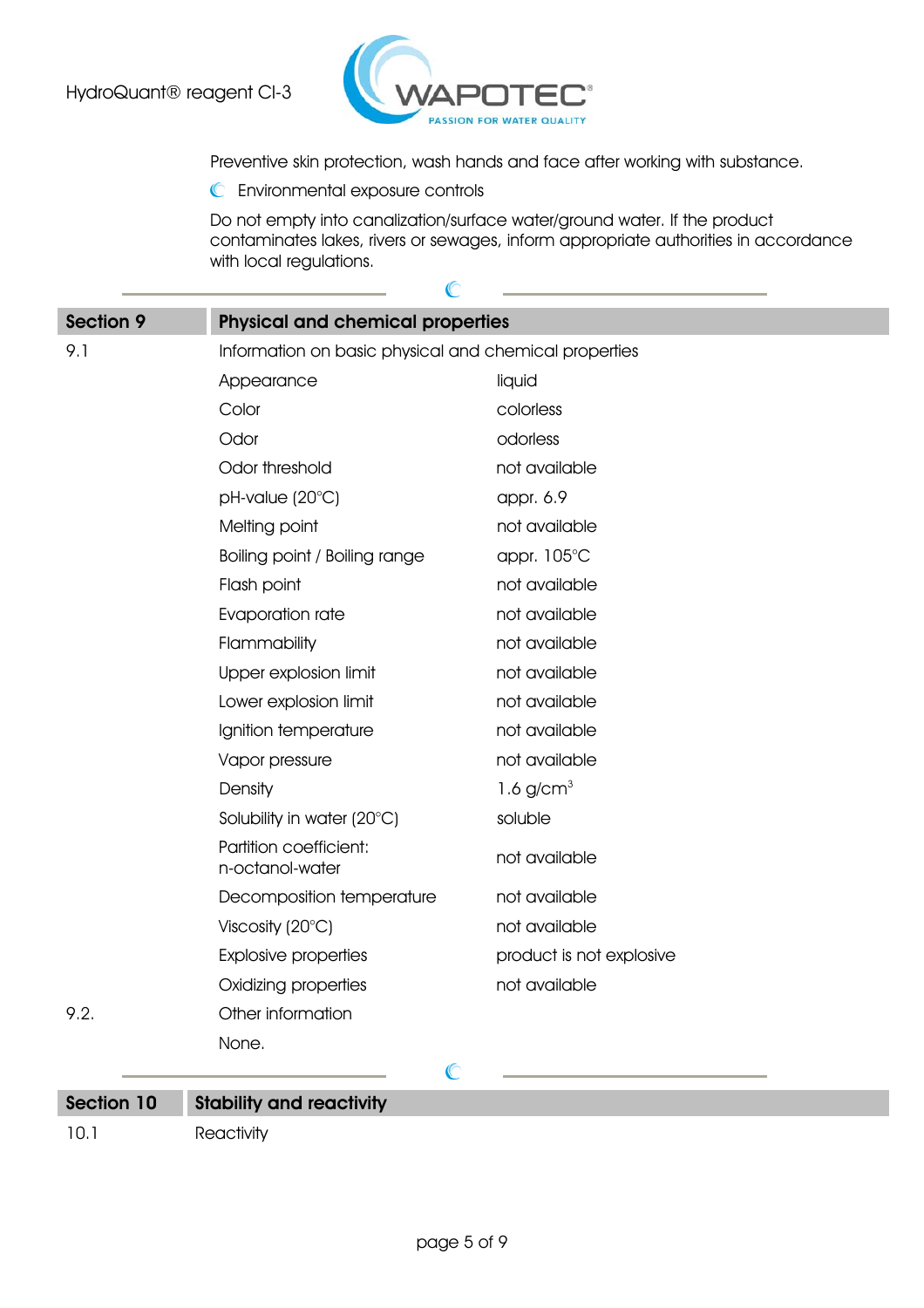

 $\mathbb{C}$ 

Preventive skin protection, wash hands and face after working with substance.

Environmental exposure controls

Do not empty into canalization/surface water/ground water. If the product contaminates lakes, rivers or sewages, inform appropriate authorities in accordance with local regulations.

| <b>Section 9</b> | <b>Physical and chemical properties</b>               |                          |  |
|------------------|-------------------------------------------------------|--------------------------|--|
| 9.1              | Information on basic physical and chemical properties |                          |  |
|                  | Appearance                                            | liquid                   |  |
|                  | Color                                                 | colorless                |  |
|                  | Odor                                                  | odorless                 |  |
|                  | Odor threshold                                        | not available            |  |
|                  | pH-value (20°C)                                       | appr. 6.9                |  |
|                  | Melting point                                         | not available            |  |
|                  | Boiling point / Boiling range                         | appr. 105°C              |  |
|                  | Flash point                                           | not available            |  |
|                  | Evaporation rate                                      | not available            |  |
|                  | Flammability                                          | not available            |  |
|                  | Upper explosion limit                                 | not available            |  |
|                  | Lower explosion limit                                 | not available            |  |
|                  | Ignition temperature                                  | not available            |  |
|                  | Vapor pressure                                        | not available            |  |
|                  | Density                                               | 1.6 $g/cm3$              |  |
|                  | Solubility in water (20°C)                            | soluble                  |  |
|                  | Partition coefficient:<br>n-octanol-water             | not available            |  |
|                  | Decomposition temperature                             | not available            |  |
|                  | Viscosity $(20^{\circ}C)$                             | not available            |  |
|                  | <b>Explosive properties</b>                           | product is not explosive |  |
|                  | Oxidizing properties                                  | not available            |  |
| 9.2.             | Other information                                     |                          |  |
|                  | None.                                                 |                          |  |
|                  | $\mathbb{C}$                                          |                          |  |
| Section 10       | <b>Stability and reactivity</b>                       |                          |  |

10.1 Reactivity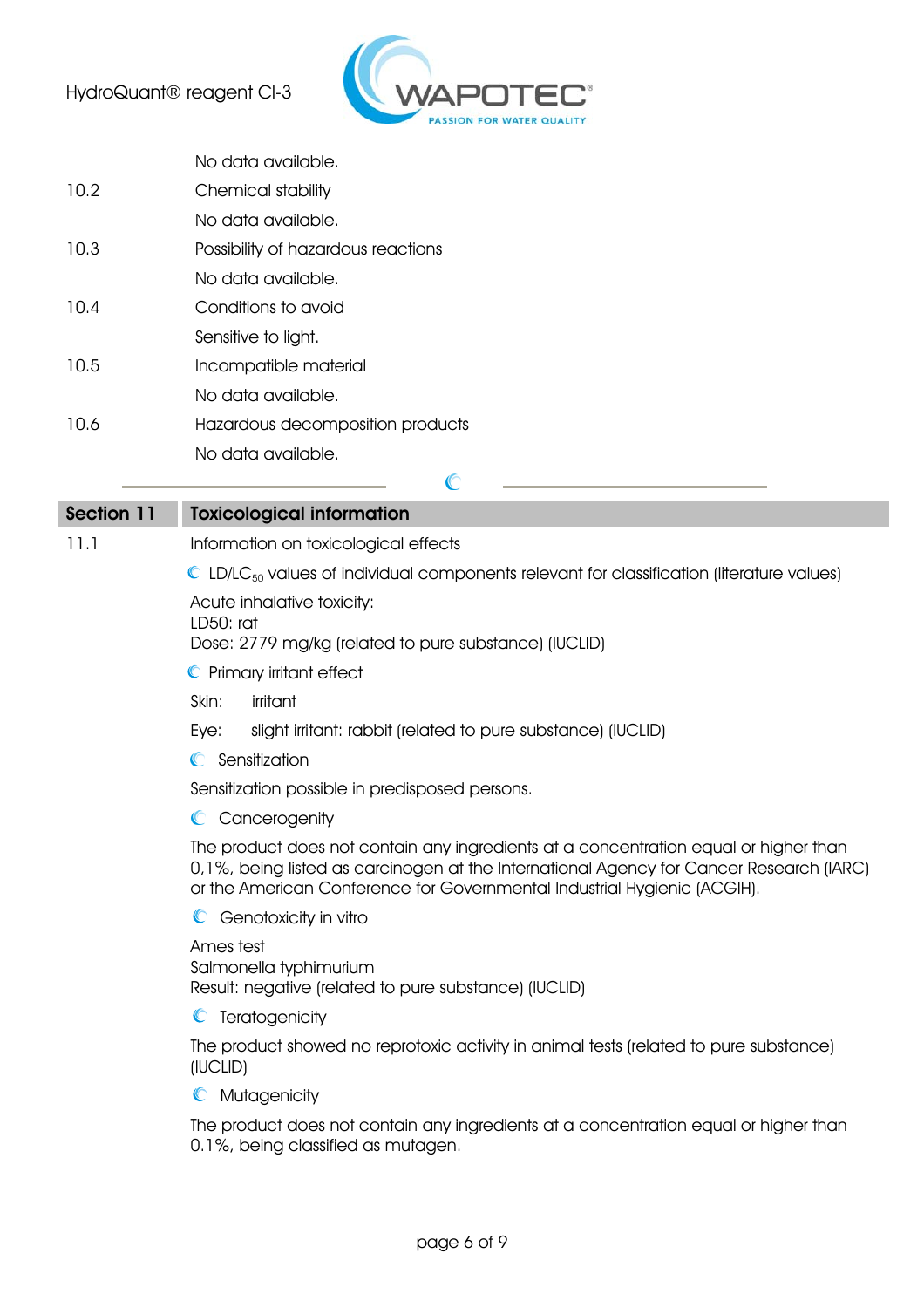

|      | No data available.                 |
|------|------------------------------------|
| 10.2 | Chemical stability                 |
|      | No data available.                 |
| 10.3 | Possibility of hazardous reactions |
|      | No data available.                 |
| 10.4 | Conditions to avoid                |
|      | Sensitive to light.                |
| 10.5 | Incompatible material              |
|      | No data available.                 |
| 10.6 | Hazardous decomposition products   |
|      | No data available.                 |

| <b>Section 11</b> | <b>Toxicological information</b>                                                                                                                                                                                                                            |
|-------------------|-------------------------------------------------------------------------------------------------------------------------------------------------------------------------------------------------------------------------------------------------------------|
| 11.1              | Information on toxicological effects                                                                                                                                                                                                                        |
|                   | $\bullet$ LD/LC <sub>50</sub> values of individual components relevant for classification (literature values)                                                                                                                                               |
|                   | Acute inhalative toxicity:<br>$LD50$ ; rat<br>Dose: 2779 mg/kg (related to pure substance) (IUCLID)                                                                                                                                                         |
|                   | C Primary irritant effect                                                                                                                                                                                                                                   |
|                   | Skin:<br>irritant                                                                                                                                                                                                                                           |
|                   | slight irritant: rabbit (related to pure substance) (IUCLID)<br>Eye:                                                                                                                                                                                        |
|                   | C Sensitization                                                                                                                                                                                                                                             |
|                   | Sensitization possible in predisposed persons.                                                                                                                                                                                                              |
|                   | Cancerogenity<br>$\mathbb{C}$                                                                                                                                                                                                                               |
|                   | The product does not contain any ingredients at a concentration equal or higher than<br>0,1%, being listed as carcinogen at the International Agency for Cancer Research (IARC)<br>or the American Conference for Governmental Industrial Hygienic (ACGIH). |
|                   | Genotoxicity in vitro                                                                                                                                                                                                                                       |
|                   | Ames test<br>Salmonella typhimurium<br>Result: negative (related to pure substance) (IUCLID)                                                                                                                                                                |
|                   | C Teratogenicity                                                                                                                                                                                                                                            |
|                   | The product showed no reprotoxic activity in animal tests (related to pure substance)<br>(IUCLID)                                                                                                                                                           |
|                   | Mutagenicity<br>$\mathbb{C}$                                                                                                                                                                                                                                |
|                   | The product does not contain any ingredients at a concentration equal or higher than<br>0.1%, being classified as mutagen.                                                                                                                                  |

 $\mathbb{C}$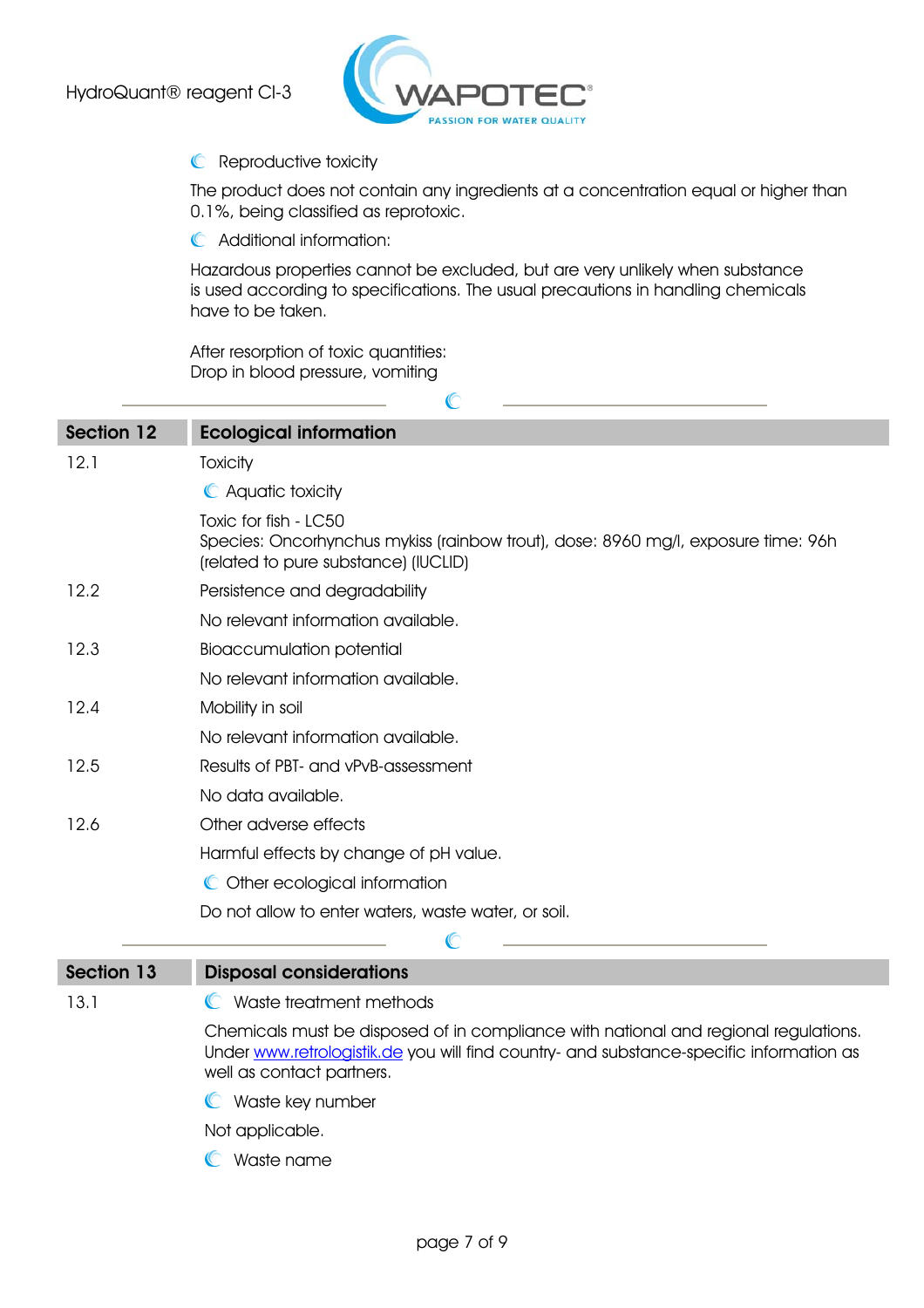

## **C** Reproductive toxicity

The product does not contain any ingredients at a concentration equal or higher than 0.1%, being classified as reprotoxic.

Additional information:

Hazardous properties cannot be excluded, but are very unlikely when substance is used according to specifications. The usual precautions in handling chemicals have to be taken.

 $\mathbb{C}$ 

L.

After resorption of toxic quantities: Drop in blood pressure, vomiting

| <b>Section 12</b> | <b>Ecological information</b>                                                                                                                                                                               |
|-------------------|-------------------------------------------------------------------------------------------------------------------------------------------------------------------------------------------------------------|
| 12.1              | Toxicity                                                                                                                                                                                                    |
|                   | C Aquatic toxicity                                                                                                                                                                                          |
|                   | Toxic for fish - LC50                                                                                                                                                                                       |
|                   | Species: Oncorhynchus mykiss (rainbow trout), dose: 8960 mg/l, exposure time: 96h<br>(related to pure substance) (IUCLID)                                                                                   |
| 12.2              | Persistence and degradability                                                                                                                                                                               |
|                   | No relevant information available.                                                                                                                                                                          |
| 12.3              | <b>Bioaccumulation potential</b>                                                                                                                                                                            |
|                   | No relevant information available.                                                                                                                                                                          |
| 12.4              | Mobility in soil                                                                                                                                                                                            |
|                   | No relevant information available.                                                                                                                                                                          |
| 12.5              | Results of PBT- and vPvB-assessment                                                                                                                                                                         |
|                   | No data available.                                                                                                                                                                                          |
| 12.6              | Other adverse effects                                                                                                                                                                                       |
|                   | Harmful effects by change of pH value.                                                                                                                                                                      |
|                   | C Other ecological information                                                                                                                                                                              |
|                   | Do not allow to enter waters, waste water, or soil.                                                                                                                                                         |
|                   | C                                                                                                                                                                                                           |
| <b>Section 13</b> | <b>Disposal considerations</b>                                                                                                                                                                              |
| 13.1              | C Waste treatment methods                                                                                                                                                                                   |
|                   | Chemicals must be disposed of in compliance with national and regional regulations.<br>Under www.retrologistik.de you will find country- and substance-specific information as<br>well as contact partners. |
|                   | C Waste key number                                                                                                                                                                                          |
|                   | Not applicable.                                                                                                                                                                                             |
|                   | $\mathbb{C}$<br>Waste name                                                                                                                                                                                  |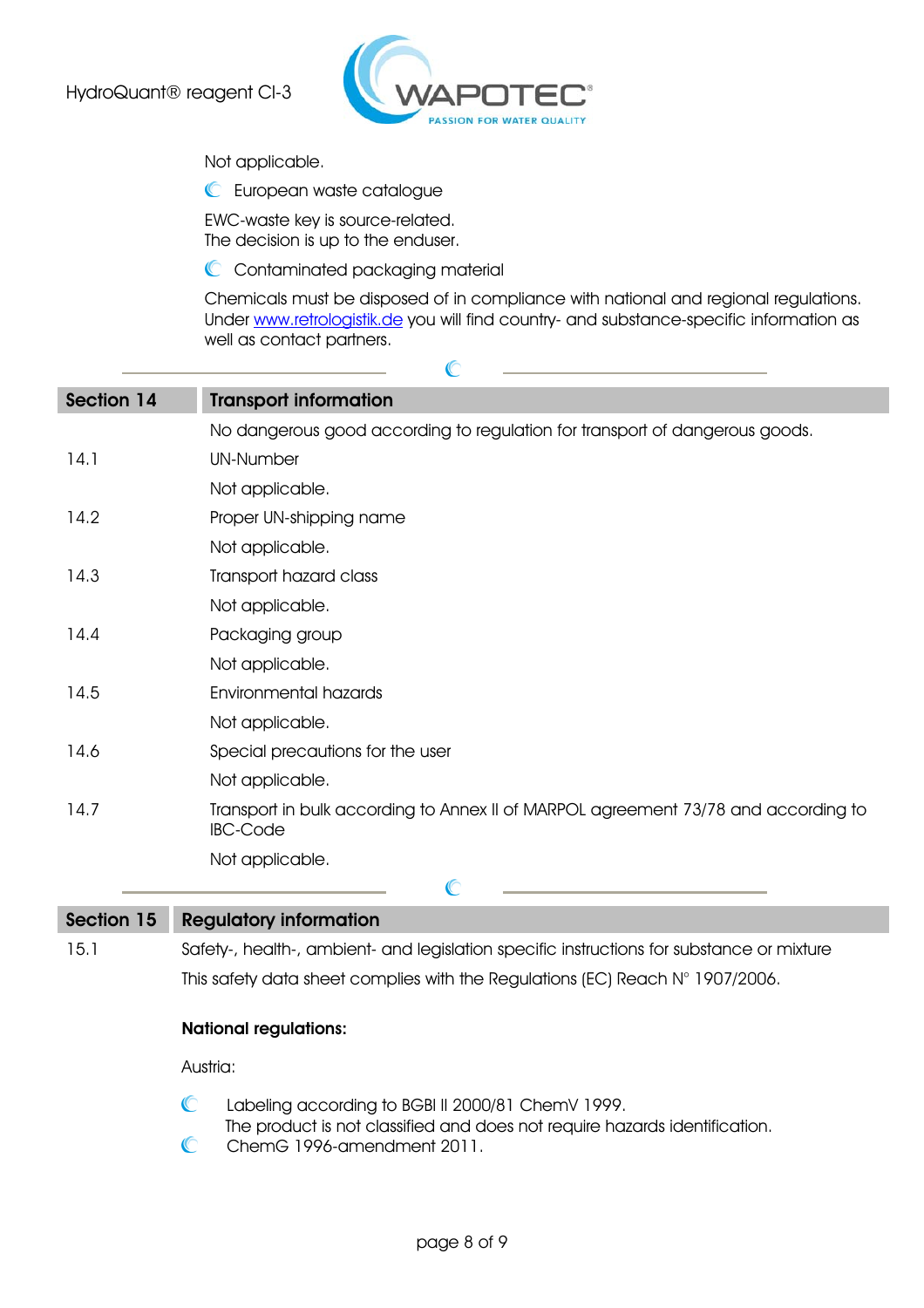

 $\mathbb{C}$ 

Not applicable.

**C** European waste catalogue

EWC-waste key is source-related. The decision is up to the enduser.

C Contaminated packaging material

Chemicals must be disposed of in compliance with national and regional regulations. Under www.retrologistik.de you will find country- and substance-specific information as well as contact partners.

| <b>Section 14</b> | <b>Transport information</b>                                                                          |
|-------------------|-------------------------------------------------------------------------------------------------------|
|                   | No dangerous good according to regulation for transport of dangerous goods.                           |
| 14.1              | <b>UN-Number</b>                                                                                      |
|                   | Not applicable.                                                                                       |
| 14.2              | Proper UN-shipping name                                                                               |
|                   | Not applicable.                                                                                       |
| 14.3              | Transport hazard class                                                                                |
|                   | Not applicable.                                                                                       |
| 14.4              | Packaging group                                                                                       |
|                   | Not applicable.                                                                                       |
| 14.5              | Environmental hazards                                                                                 |
|                   | Not applicable.                                                                                       |
| 14.6              | Special precautions for the user                                                                      |
|                   | Not applicable.                                                                                       |
| 14.7              | Transport in bulk according to Annex II of MARPOL agreement 73/78 and according to<br><b>IBC-Code</b> |
|                   | Not applicable.                                                                                       |
|                   | C                                                                                                     |
| Section 15        | <b>Regulatory information</b>                                                                         |

15.1 Safety-, health-, ambient- and legislation specific instructions for substance or mixture This safety data sheet complies with the Regulations (EC) Reach N° 1907/2006.

## National regulations:

Austria:

- $\mathbb{C}$ Labeling according to BGBl II 2000/81 ChemV 1999.
- The product is not classified and does not require hazards identification.
- $\mathbb{C}$ ChemG 1996-amendment 2011.